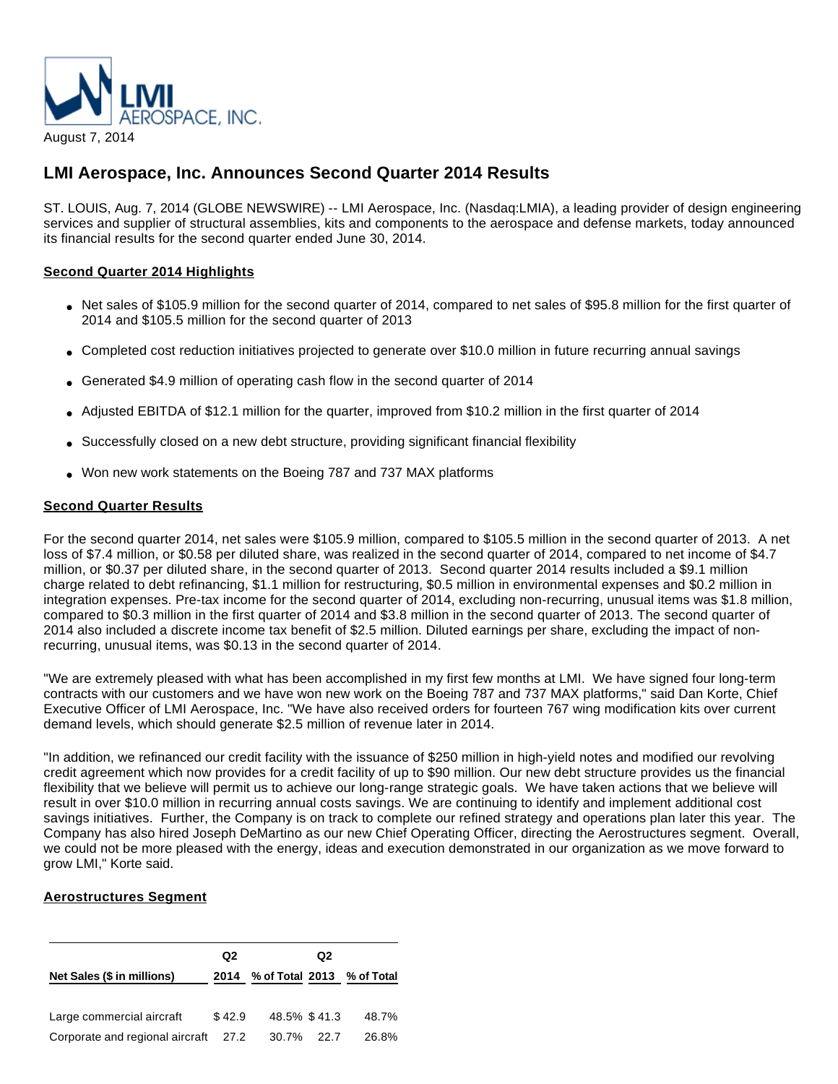

# **LMI Aerospace, Inc. Announces Second Quarter 2014 Results**

ST. LOUIS, Aug. 7, 2014 (GLOBE NEWSWIRE) -- LMI Aerospace, Inc. (Nasdaq:LMIA), a leading provider of design engineering services and supplier of structural assemblies, kits and components to the aerospace and defense markets, today announced its financial results for the second quarter ended June 30, 2014.

# **Second Quarter 2014 Highlights**

- Net sales of \$105.9 million for the second quarter of 2014, compared to net sales of \$95.8 million for the first quarter of 2014 and \$105.5 million for the second quarter of 2013
- Completed cost reduction initiatives projected to generate over \$10.0 million in future recurring annual savings
- Generated \$4.9 million of operating cash flow in the second quarter of 2014
- Adjusted EBITDA of \$12.1 million for the quarter, improved from \$10.2 million in the first quarter of 2014
- Successfully closed on a new debt structure, providing significant financial flexibility
- Won new work statements on the Boeing 787 and 737 MAX platforms

# **Second Quarter Results**

For the second quarter 2014, net sales were \$105.9 million, compared to \$105.5 million in the second quarter of 2013. A net loss of \$7.4 million, or \$0.58 per diluted share, was realized in the second quarter of 2014, compared to net income of \$4.7 million, or \$0.37 per diluted share, in the second quarter of 2013. Second quarter 2014 results included a \$9.1 million charge related to debt refinancing, \$1.1 million for restructuring, \$0.5 million in environmental expenses and \$0.2 million in integration expenses. Pre-tax income for the second quarter of 2014, excluding non-recurring, unusual items was \$1.8 million, compared to \$0.3 million in the first quarter of 2014 and \$3.8 million in the second quarter of 2013. The second quarter of 2014 also included a discrete income tax benefit of \$2.5 million. Diluted earnings per share, excluding the impact of nonrecurring, unusual items, was \$0.13 in the second quarter of 2014.

"We are extremely pleased with what has been accomplished in my first few months at LMI. We have signed four long-term contracts with our customers and we have won new work on the Boeing 787 and 737 MAX platforms," said Dan Korte, Chief Executive Officer of LMI Aerospace, Inc. "We have also received orders for fourteen 767 wing modification kits over current demand levels, which should generate \$2.5 million of revenue later in 2014.

"In addition, we refinanced our credit facility with the issuance of \$250 million in high-yield notes and modified our revolving credit agreement which now provides for a credit facility of up to \$90 million. Our new debt structure provides us the financial flexibility that we believe will permit us to achieve our long-range strategic goals. We have taken actions that we believe will result in over \$10.0 million in recurring annual costs savings. We are continuing to identify and implement additional cost savings initiatives. Further, the Company is on track to complete our refined strategy and operations plan later this year. The Company has also hired Joseph DeMartino as our new Chief Operating Officer, directing the Aerostructures segment. Overall, we could not be more pleased with the energy, ideas and execution demonstrated in our organization as we move forward to grow LMI," Korte said.

# **Aerostructures Segment**

|                                      | Q <sub>2</sub> |                                 | Q <sub>2</sub> |       |
|--------------------------------------|----------------|---------------------------------|----------------|-------|
| Net Sales (\$ in millions)           |                | 2014 % of Total 2013 % of Total |                |       |
| Large commercial aircraft            | \$42.9         | 48.5% \$41.3                    |                | 48.7% |
| Corporate and regional aircraft 27.2 |                | 30.7% 22.7                      |                | 26.8% |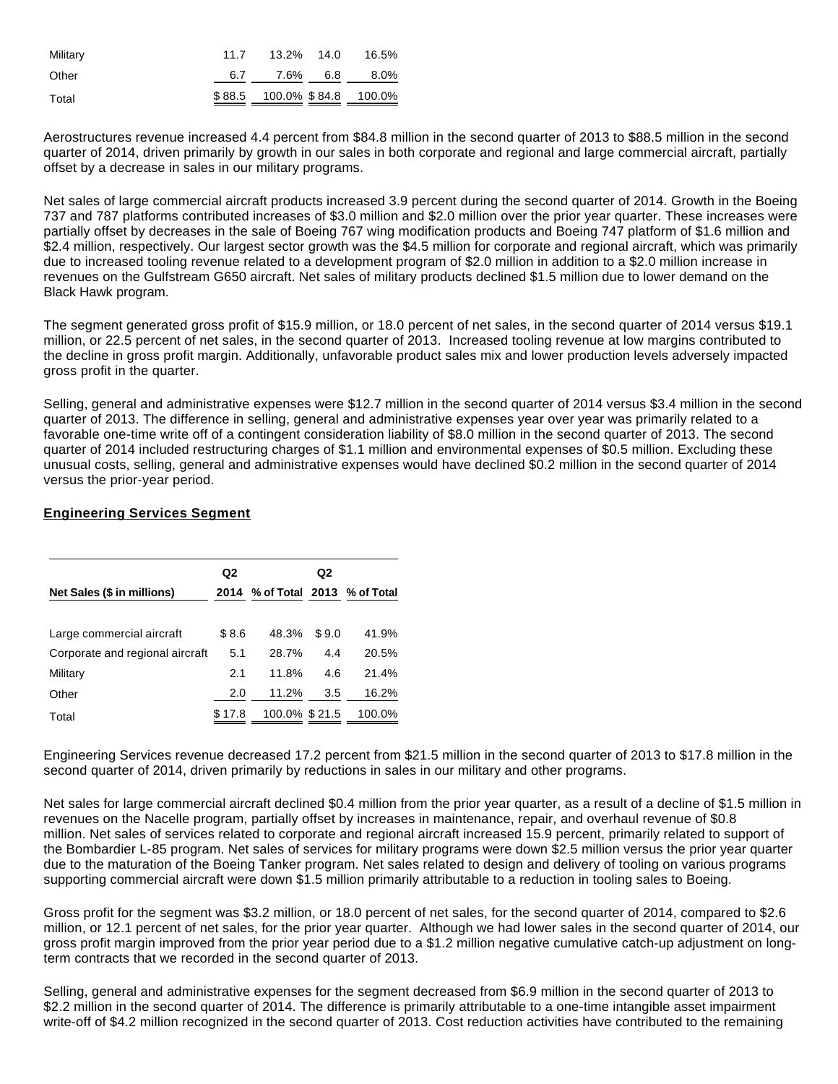| Military | 11.7 | 13.2% 14.0 | 16.5%                       |
|----------|------|------------|-----------------------------|
| Other    |      |            | $6.7$ $7.6\%$ $6.8$ $8.0\%$ |
| Total    |      |            | \$88.5 100.0% \$84.8 100.0% |

Aerostructures revenue increased 4.4 percent from \$84.8 million in the second quarter of 2013 to \$88.5 million in the second quarter of 2014, driven primarily by growth in our sales in both corporate and regional and large commercial aircraft, partially offset by a decrease in sales in our military programs.

Net sales of large commercial aircraft products increased 3.9 percent during the second quarter of 2014. Growth in the Boeing 737 and 787 platforms contributed increases of \$3.0 million and \$2.0 million over the prior year quarter. These increases were partially offset by decreases in the sale of Boeing 767 wing modification products and Boeing 747 platform of \$1.6 million and \$2.4 million, respectively. Our largest sector growth was the \$4.5 million for corporate and regional aircraft, which was primarily due to increased tooling revenue related to a development program of \$2.0 million in addition to a \$2.0 million increase in revenues on the Gulfstream G650 aircraft. Net sales of military products declined \$1.5 million due to lower demand on the Black Hawk program.

The segment generated gross profit of \$15.9 million, or 18.0 percent of net sales, in the second quarter of 2014 versus \$19.1 million, or 22.5 percent of net sales, in the second quarter of 2013. Increased tooling revenue at low margins contributed to the decline in gross profit margin. Additionally, unfavorable product sales mix and lower production levels adversely impacted gross profit in the quarter.

Selling, general and administrative expenses were \$12.7 million in the second quarter of 2014 versus \$3.4 million in the second quarter of 2013. The difference in selling, general and administrative expenses year over year was primarily related to a favorable one-time write off of a contingent consideration liability of \$8.0 million in the second quarter of 2013. The second quarter of 2014 included restructuring charges of \$1.1 million and environmental expenses of \$0.5 million. Excluding these unusual costs, selling, general and administrative expenses would have declined \$0.2 million in the second quarter of 2014 versus the prior-year period.

# **Engineering Services Segment**

|                                 | Q2     |                                 | Q <sub>2</sub> |        |
|---------------------------------|--------|---------------------------------|----------------|--------|
| Net Sales (\$ in millions)      |        | 2014 % of Total 2013 % of Total |                |        |
| Large commercial aircraft       | \$8.6  | 48.3%                           | \$9.0          | 41.9%  |
| Corporate and regional aircraft | 5.1    | 28.7%                           | 4.4            | 20.5%  |
| Military                        | 2.1    | 11.8%                           | 4.6            | 21.4%  |
| Other                           | 2.0    | 11.2%                           | 3.5            | 16.2%  |
| Total                           | \$17.8 | 100.0% \$21.5                   |                | 100.0% |

Engineering Services revenue decreased 17.2 percent from \$21.5 million in the second quarter of 2013 to \$17.8 million in the second quarter of 2014, driven primarily by reductions in sales in our military and other programs.

Net sales for large commercial aircraft declined \$0.4 million from the prior year quarter, as a result of a decline of \$1.5 million in revenues on the Nacelle program, partially offset by increases in maintenance, repair, and overhaul revenue of \$0.8 million. Net sales of services related to corporate and regional aircraft increased 15.9 percent, primarily related to support of the Bombardier L-85 program. Net sales of services for military programs were down \$2.5 million versus the prior year quarter due to the maturation of the Boeing Tanker program. Net sales related to design and delivery of tooling on various programs supporting commercial aircraft were down \$1.5 million primarily attributable to a reduction in tooling sales to Boeing.

Gross profit for the segment was \$3.2 million, or 18.0 percent of net sales, for the second quarter of 2014, compared to \$2.6 million, or 12.1 percent of net sales, for the prior year quarter. Although we had lower sales in the second quarter of 2014, our gross profit margin improved from the prior year period due to a \$1.2 million negative cumulative catch-up adjustment on longterm contracts that we recorded in the second quarter of 2013.

Selling, general and administrative expenses for the segment decreased from \$6.9 million in the second quarter of 2013 to \$2.2 million in the second quarter of 2014. The difference is primarily attributable to a one-time intangible asset impairment write-off of \$4.2 million recognized in the second quarter of 2013. Cost reduction activities have contributed to the remaining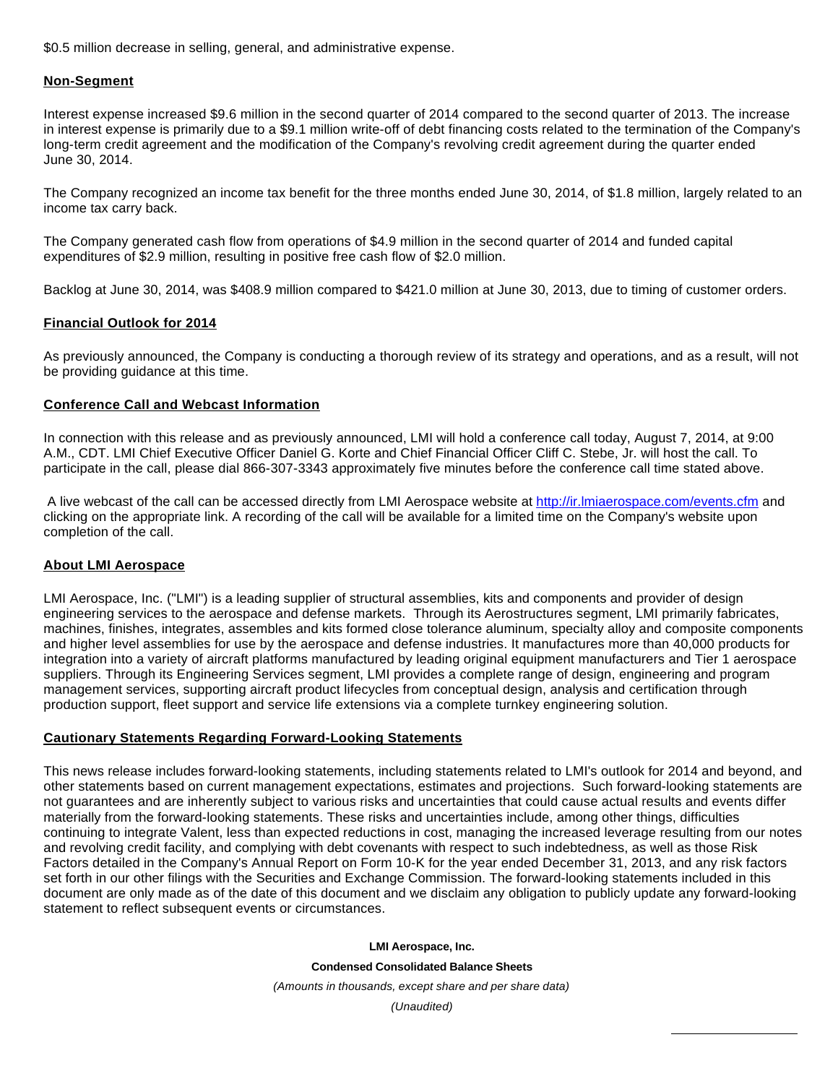\$0.5 million decrease in selling, general, and administrative expense.

## **Non-Segment**

Interest expense increased \$9.6 million in the second quarter of 2014 compared to the second quarter of 2013. The increase in interest expense is primarily due to a \$9.1 million write-off of debt financing costs related to the termination of the Company's long-term credit agreement and the modification of the Company's revolving credit agreement during the quarter ended June 30, 2014.

The Company recognized an income tax benefit for the three months ended June 30, 2014, of \$1.8 million, largely related to an income tax carry back.

The Company generated cash flow from operations of \$4.9 million in the second quarter of 2014 and funded capital expenditures of \$2.9 million, resulting in positive free cash flow of \$2.0 million.

Backlog at June 30, 2014, was \$408.9 million compared to \$421.0 million at June 30, 2013, due to timing of customer orders.

### **Financial Outlook for 2014**

As previously announced, the Company is conducting a thorough review of its strategy and operations, and as a result, will not be providing guidance at this time.

## **Conference Call and Webcast Information**

In connection with this release and as previously announced, LMI will hold a conference call today, August 7, 2014, at 9:00 A.M., CDT. LMI Chief Executive Officer Daniel G. Korte and Chief Financial Officer Cliff C. Stebe, Jr. will host the call. To participate in the call, please dial 866-307-3343 approximately five minutes before the conference call time stated above.

 A live webcast of the call can be accessed directly from LMI Aerospace website at [http://ir.lmiaerospace.com/events.cfm](http://www.globenewswire.com/newsroom/ctr?d=10093511&l=26&u=http%3A%2F%2Fir.lmiaerospace.com%2Fevents.cfm) and clicking on the appropriate link. A recording of the call will be available for a limited time on the Company's website upon completion of the call.

### **About LMI Aerospace**

LMI Aerospace, Inc. ("LMI") is a leading supplier of structural assemblies, kits and components and provider of design engineering services to the aerospace and defense markets. Through its Aerostructures segment, LMI primarily fabricates, machines, finishes, integrates, assembles and kits formed close tolerance aluminum, specialty alloy and composite components and higher level assemblies for use by the aerospace and defense industries. It manufactures more than 40,000 products for integration into a variety of aircraft platforms manufactured by leading original equipment manufacturers and Tier 1 aerospace suppliers. Through its Engineering Services segment, LMI provides a complete range of design, engineering and program management services, supporting aircraft product lifecycles from conceptual design, analysis and certification through production support, fleet support and service life extensions via a complete turnkey engineering solution.

# **Cautionary Statements Regarding Forward-Looking Statements**

This news release includes forward-looking statements, including statements related to LMI's outlook for 2014 and beyond, and other statements based on current management expectations, estimates and projections. Such forward-looking statements are not guarantees and are inherently subject to various risks and uncertainties that could cause actual results and events differ materially from the forward-looking statements. These risks and uncertainties include, among other things, difficulties continuing to integrate Valent, less than expected reductions in cost, managing the increased leverage resulting from our notes and revolving credit facility, and complying with debt covenants with respect to such indebtedness, as well as those Risk Factors detailed in the Company's Annual Report on Form 10-K for the year ended December 31, 2013, and any risk factors set forth in our other filings with the Securities and Exchange Commission. The forward-looking statements included in this document are only made as of the date of this document and we disclaim any obligation to publicly update any forward-looking statement to reflect subsequent events or circumstances.

#### **LMI Aerospace, Inc.**

**Condensed Consolidated Balance Sheets**

(Amounts in thousands, except share and per share data)

(Unaudited)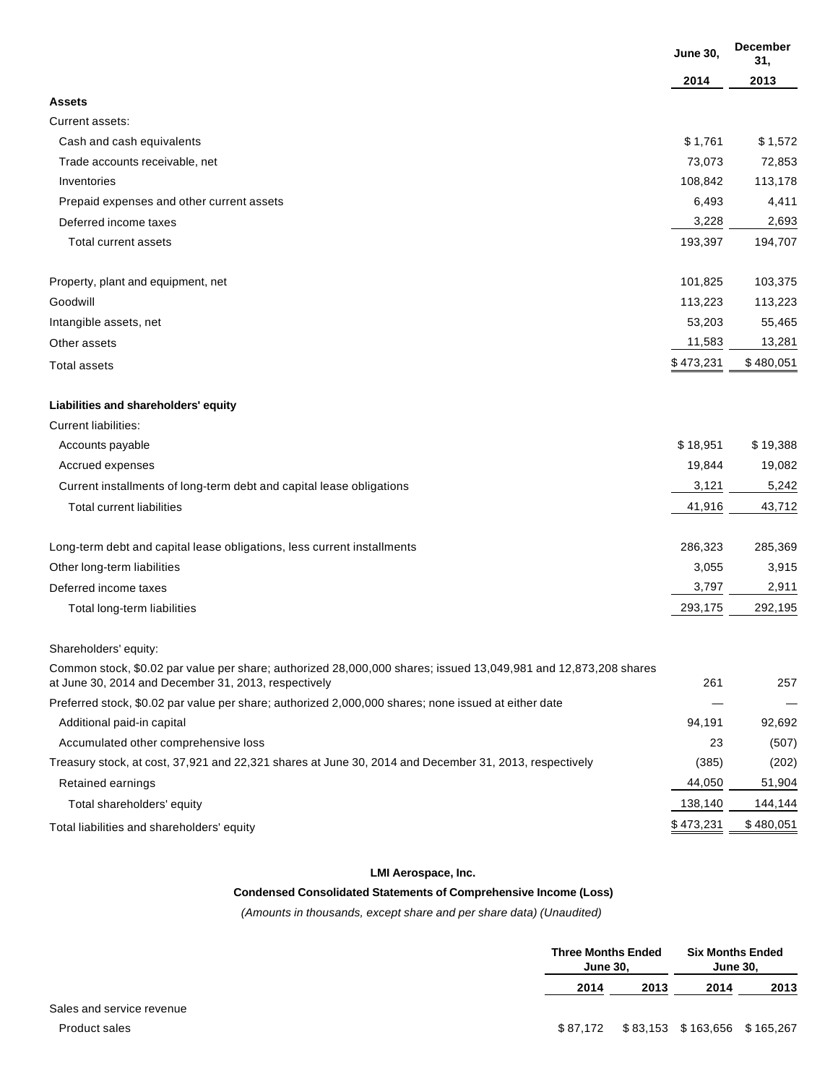|                                                                                                                                                                         | <b>June 30,</b> | <b>December</b><br>31, |
|-------------------------------------------------------------------------------------------------------------------------------------------------------------------------|-----------------|------------------------|
|                                                                                                                                                                         | 2014            | 2013                   |
| <b>Assets</b>                                                                                                                                                           |                 |                        |
| Current assets:                                                                                                                                                         |                 |                        |
| Cash and cash equivalents                                                                                                                                               | \$1,761         | \$1,572                |
| Trade accounts receivable, net                                                                                                                                          | 73,073          | 72,853                 |
| Inventories                                                                                                                                                             | 108,842         | 113,178                |
| Prepaid expenses and other current assets                                                                                                                               | 6,493           | 4,411                  |
| Deferred income taxes                                                                                                                                                   | 3,228           | 2,693                  |
| Total current assets                                                                                                                                                    | 193,397         | 194,707                |
| Property, plant and equipment, net                                                                                                                                      | 101,825         | 103,375                |
| Goodwill                                                                                                                                                                | 113,223         | 113,223                |
| Intangible assets, net                                                                                                                                                  | 53,203          | 55,465                 |
| Other assets                                                                                                                                                            | 11,583          | 13,281                 |
| <b>Total assets</b>                                                                                                                                                     | \$473,231       | \$480,051              |
| Liabilities and shareholders' equity                                                                                                                                    |                 |                        |
| <b>Current liabilities:</b>                                                                                                                                             |                 |                        |
| Accounts payable                                                                                                                                                        | \$18,951        | \$19,388               |
| Accrued expenses                                                                                                                                                        | 19,844          | 19,082                 |
| Current installments of long-term debt and capital lease obligations                                                                                                    | 3,121           | 5,242                  |
| <b>Total current liabilities</b>                                                                                                                                        | 41,916          | 43,712                 |
| Long-term debt and capital lease obligations, less current installments                                                                                                 | 286,323         | 285,369                |
| Other long-term liabilities                                                                                                                                             | 3,055           | 3,915                  |
| Deferred income taxes                                                                                                                                                   | 3,797           | 2,911                  |
| Total long-term liabilities                                                                                                                                             | 293,175         | 292,195                |
| Shareholders' equity:                                                                                                                                                   |                 |                        |
| Common stock, \$0.02 par value per share; authorized 28,000,000 shares; issued 13,049,981 and 12,873,208 shares<br>at June 30, 2014 and December 31, 2013, respectively | 261             | 257                    |
| Preferred stock, \$0.02 par value per share; authorized 2,000,000 shares; none issued at either date                                                                    |                 |                        |
| Additional paid-in capital                                                                                                                                              | 94,191          | 92,692                 |
| Accumulated other comprehensive loss                                                                                                                                    | 23              | (507)                  |
| Treasury stock, at cost, 37,921 and 22,321 shares at June 30, 2014 and December 31, 2013, respectively                                                                  | (385)           | (202)                  |
| Retained earnings                                                                                                                                                       | 44,050          | 51,904                 |
| Total shareholders' equity                                                                                                                                              | 138,140         | 144,144                |
| Total liabilities and shareholders' equity                                                                                                                              | \$473,231       | \$480,051              |

# **LMI Aerospace, Inc.**

# **Condensed Consolidated Statements of Comprehensive Income (Loss)**

(Amounts in thousands, except share and per share data) (Unaudited)

| <b>Three Months Ended</b><br><b>June 30.</b> |      | <b>Six Months Ended</b><br><b>June 30.</b> |      |
|----------------------------------------------|------|--------------------------------------------|------|
| 2014                                         | 2013 | 2014                                       | 2013 |
|                                              |      |                                            |      |
| \$87.172                                     |      | \$83,153 \$163,656 \$165,267               |      |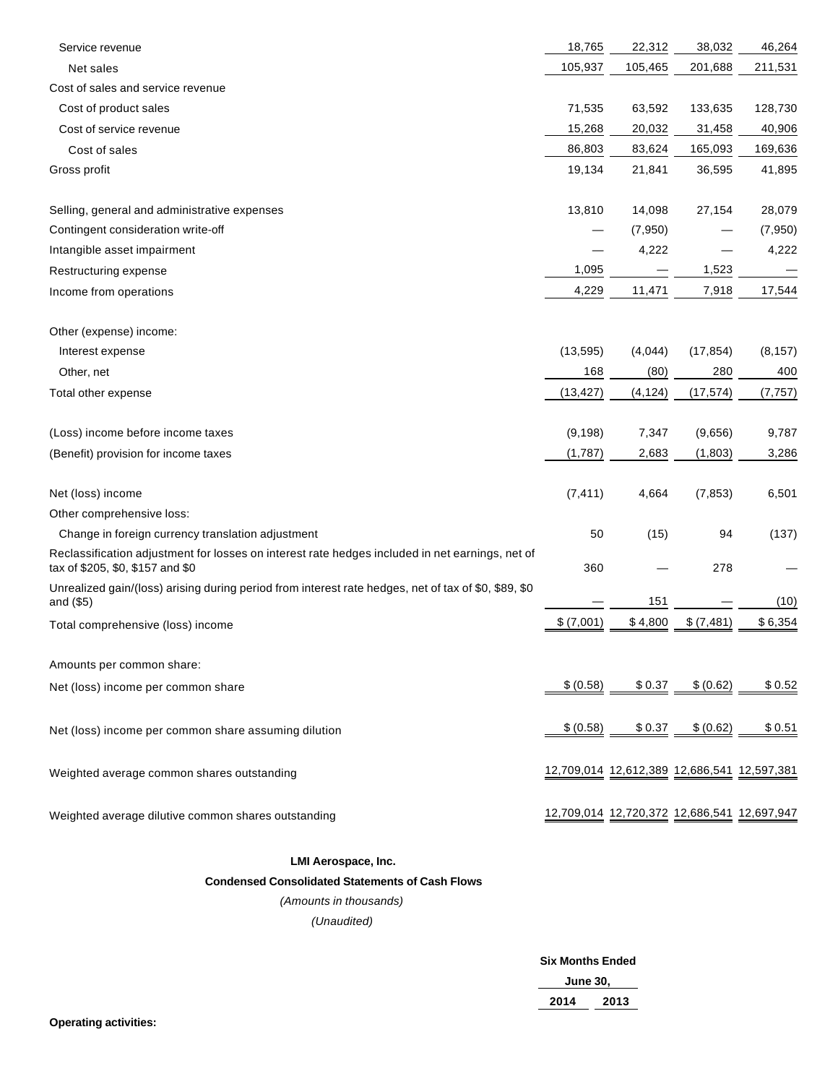| Service revenue                                                                                                                     | 18,765    | 22,312                                      | 38,032     | 46,264   |
|-------------------------------------------------------------------------------------------------------------------------------------|-----------|---------------------------------------------|------------|----------|
| Net sales                                                                                                                           | 105,937   | 105,465                                     | 201,688    | 211,531  |
| Cost of sales and service revenue                                                                                                   |           |                                             |            |          |
| Cost of product sales                                                                                                               | 71,535    | 63,592                                      | 133,635    | 128,730  |
| Cost of service revenue                                                                                                             | 15,268    | 20,032                                      | 31,458     | 40,906   |
| Cost of sales                                                                                                                       | 86,803    | 83,624                                      | 165,093    | 169,636  |
| Gross profit                                                                                                                        | 19,134    | 21,841                                      | 36,595     | 41,895   |
| Selling, general and administrative expenses                                                                                        | 13,810    | 14,098                                      | 27,154     | 28,079   |
| Contingent consideration write-off                                                                                                  |           | (7,950)                                     |            | (7, 950) |
| Intangible asset impairment                                                                                                         |           | 4,222                                       |            | 4,222    |
| Restructuring expense                                                                                                               | 1,095     |                                             | 1,523      |          |
| Income from operations                                                                                                              | 4,229     | 11,471                                      | 7,918      | 17,544   |
| Other (expense) income:                                                                                                             |           |                                             |            |          |
| Interest expense                                                                                                                    | (13, 595) | (4,044)                                     | (17, 854)  | (8, 157) |
| Other, net                                                                                                                          | 168       | (80)                                        | 280        | 400      |
| Total other expense                                                                                                                 | (13, 427) | (4, 124)                                    | (17, 574)  | (7, 757) |
| (Loss) income before income taxes                                                                                                   | (9, 198)  | 7,347                                       | (9,656)    | 9,787    |
| (Benefit) provision for income taxes                                                                                                | (1,787)   | 2,683                                       | (1,803)    | 3,286    |
| Net (loss) income                                                                                                                   | (7, 411)  | 4,664                                       | (7, 853)   | 6,501    |
| Other comprehensive loss:                                                                                                           |           |                                             |            |          |
| Change in foreign currency translation adjustment                                                                                   | 50        | (15)                                        | 94         | (137)    |
| Reclassification adjustment for losses on interest rate hedges included in net earnings, net of<br>tax of \$205, \$0, \$157 and \$0 | 360       |                                             | 278        |          |
| Unrealized gain/(loss) arising during period from interest rate hedges, net of tax of \$0, \$89, \$0<br>and (\$5)                   |           | 151                                         |            | (10)     |
| Total comprehensive (loss) income                                                                                                   | \$(7,001) | \$4,800                                     | \$ (7,481) | \$6,354  |
| Amounts per common share:                                                                                                           |           |                                             |            |          |
| Net (loss) income per common share                                                                                                  | \$(0.58)  | \$0.37                                      | \$ (0.62)  | \$0.52   |
| Net (loss) income per common share assuming dilution                                                                                | \$ (0.58) | \$0.37                                      | \$ (0.62)  | \$0.51   |
| Weighted average common shares outstanding                                                                                          |           | 12,709,014 12,612,389 12,686,541 12,597,381 |            |          |
| Weighted average dilutive common shares outstanding                                                                                 |           | 12,709,014 12,720,372 12,686,541 12,697,947 |            |          |

# **LMI Aerospace, Inc.**

# **Condensed Consolidated Statements of Cash Flows**

(Amounts in thousands)

(Unaudited)

# **Six Months Ended**

| <b>June 30.</b> |      |  |
|-----------------|------|--|
| 2014            | 2013 |  |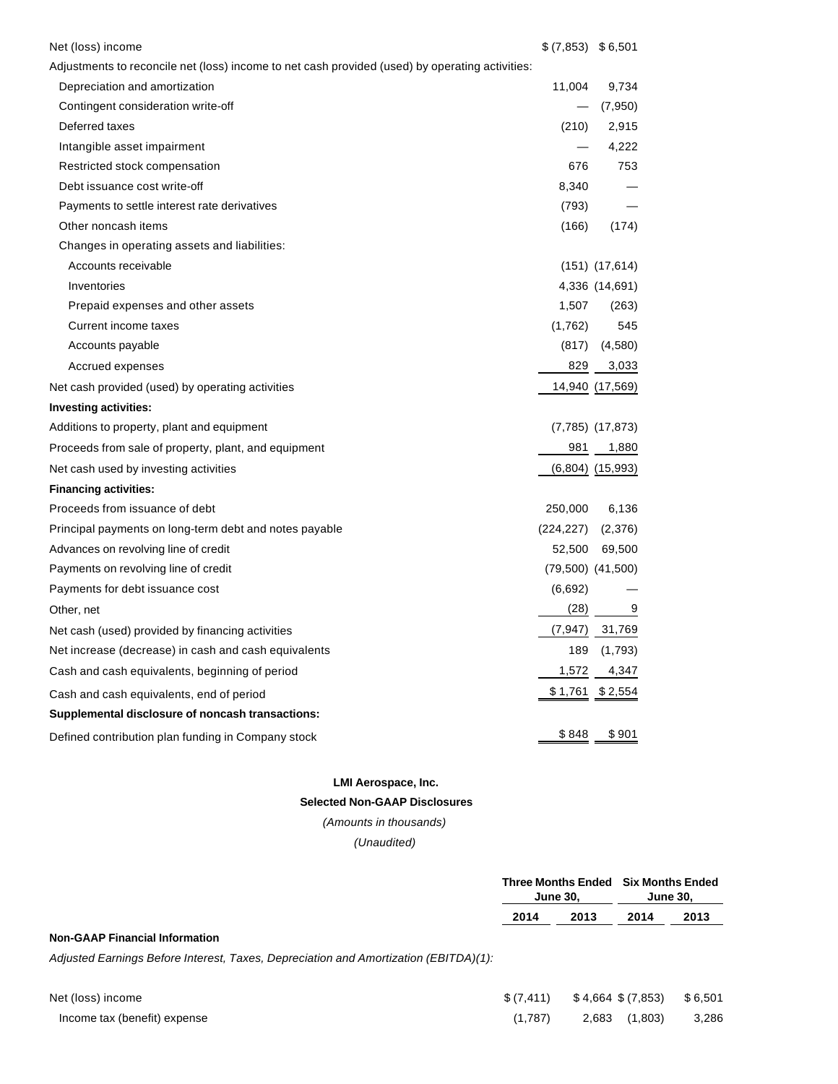| Net (loss) income                                                                               | $$(7,853)$ $$6,501$ |                       |
|-------------------------------------------------------------------------------------------------|---------------------|-----------------------|
| Adjustments to reconcile net (loss) income to net cash provided (used) by operating activities: |                     |                       |
| Depreciation and amortization                                                                   | 11,004              | 9,734                 |
| Contingent consideration write-off                                                              |                     | (7,950)               |
| Deferred taxes                                                                                  | (210)               | 2,915                 |
| Intangible asset impairment                                                                     |                     | 4,222                 |
| Restricted stock compensation                                                                   | 676                 | 753                   |
| Debt issuance cost write-off                                                                    | 8,340               |                       |
| Payments to settle interest rate derivatives                                                    | (793)               |                       |
| Other noncash items                                                                             | (166)               | (174)                 |
| Changes in operating assets and liabilities:                                                    |                     |                       |
| Accounts receivable                                                                             |                     | $(151)$ $(17,614)$    |
| Inventories                                                                                     |                     | 4,336 (14,691)        |
| Prepaid expenses and other assets                                                               | 1,507               | (263)                 |
| Current income taxes                                                                            | (1,762)             | 545                   |
| Accounts payable                                                                                | (817)               | (4,580)               |
| Accrued expenses                                                                                | 829                 | 3,033                 |
| Net cash provided (used) by operating activities                                                |                     | 14,940 (17,569)       |
| Investing activities:                                                                           |                     |                       |
| Additions to property, plant and equipment                                                      |                     | (7,785) (17,873)      |
| Proceeds from sale of property, plant, and equipment                                            | 981                 | 1,880                 |
| Net cash used by investing activities                                                           |                     | $(6,804)$ $(15,993)$  |
| <b>Financing activities:</b>                                                                    |                     |                       |
| Proceeds from issuance of debt                                                                  | 250,000             | 6,136                 |
| Principal payments on long-term debt and notes payable                                          | (224, 227)          | (2,376)               |
| Advances on revolving line of credit                                                            | 52,500              | 69,500                |
| Payments on revolving line of credit                                                            |                     | $(79,500)$ $(41,500)$ |
| Payments for debt issuance cost                                                                 | (6,692)             |                       |
| Other, net                                                                                      | (28)                | 9                     |
| Net cash (used) provided by financing activities                                                | (7, 947)            | 31,769                |
| Net increase (decrease) in cash and cash equivalents                                            | 189                 | (1,793)               |
| Cash and cash equivalents, beginning of period                                                  | 1,572               | 4,347                 |
| Cash and cash equivalents, end of period                                                        | <u>\$1,761</u>      | \$ 2,554              |
| Supplemental disclosure of noncash transactions:                                                |                     |                       |
| Defined contribution plan funding in Company stock                                              | \$848               | \$901                 |

### **LMI Aerospace, Inc.**

### **Selected Non-GAAP Disclosures**

(Amounts in thousands)

(Unaudited)

| <b>June 30,</b>      | Three Months Ended Six Months Ended<br><b>June 30.</b> |  |
|----------------------|--------------------------------------------------------|--|
| 2013<br>2014<br>2013 | 2014                                                   |  |

# **Non-GAAP Financial Information**

Adjusted Earnings Before Interest, Taxes, Depreciation and Amortization (EBITDA)(1):

| Net (loss) income            |         | $$(7,411)$ $$4,664$ $$(7,853)$ $$6,501$ |       |
|------------------------------|---------|-----------------------------------------|-------|
| Income tax (benefit) expense | (1.787) | 2,683 (1,803)                           | 3,286 |